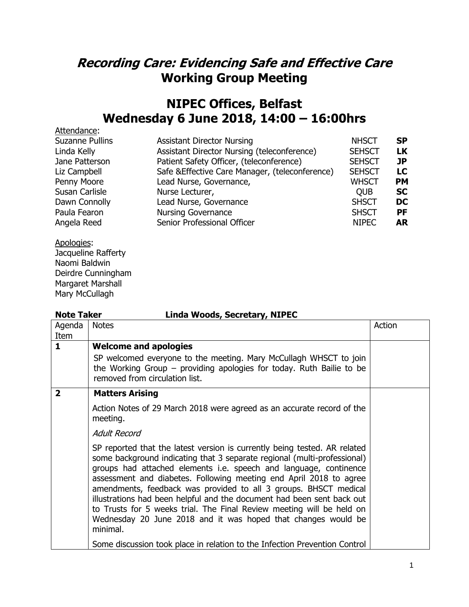## **Recording Care: Evidencing Safe and Effective Care Working Group Meeting**

## **NIPEC Offices, Belfast Wednesday 6 June 2018, 14:00 – 16:00hrs**

| Attendance:            |                                                 |               |           |
|------------------------|-------------------------------------------------|---------------|-----------|
| <b>Suzanne Pullins</b> | <b>Assistant Director Nursing</b>               | <b>NHSCT</b>  | SP.       |
| Linda Kelly            | Assistant Director Nursing (teleconference)     | <b>SEHSCT</b> | <b>LK</b> |
| Jane Patterson         | Patient Safety Officer, (teleconference)        | <b>SEHSCT</b> | JP        |
| Liz Campbell           | Safe & Effective Care Manager, (teleconference) | <b>SEHSCT</b> | LC        |
| Penny Moore            | Lead Nurse, Governance,                         | WHSCT         | <b>PM</b> |
| Susan Carlisle         | Nurse Lecturer,                                 | <b>OUB</b>    | <b>SC</b> |
| Dawn Connolly          | Lead Nurse, Governance                          | <b>SHSCT</b>  | DC        |
| Paula Fearon           | <b>Nursing Governance</b>                       | <b>SHSCT</b>  | PF        |
| Angela Reed            | Senior Professional Officer                     | <b>NIPEC</b>  | <b>AR</b> |
|                        |                                                 |               |           |

Apologies:

Jacqueline Rafferty Naomi Baldwin Deirdre Cunningham Margaret Marshall Mary McCullagh

## **Note Taker Linda Woods, Secretary, NIPEC**

| Agenda       | <b>Notes</b>                                                                                                                                                                                                                                                                                                                                                                                                                                                                                                                                                                                         | Action |
|--------------|------------------------------------------------------------------------------------------------------------------------------------------------------------------------------------------------------------------------------------------------------------------------------------------------------------------------------------------------------------------------------------------------------------------------------------------------------------------------------------------------------------------------------------------------------------------------------------------------------|--------|
| Item         |                                                                                                                                                                                                                                                                                                                                                                                                                                                                                                                                                                                                      |        |
| $\mathbf{1}$ | <b>Welcome and apologies</b>                                                                                                                                                                                                                                                                                                                                                                                                                                                                                                                                                                         |        |
|              | SP welcomed everyone to the meeting. Mary McCullagh WHSCT to join<br>the Working Group $-$ providing apologies for today. Ruth Bailie to be<br>removed from circulation list.                                                                                                                                                                                                                                                                                                                                                                                                                        |        |
| $\mathbf{2}$ | <b>Matters Arising</b>                                                                                                                                                                                                                                                                                                                                                                                                                                                                                                                                                                               |        |
|              | Action Notes of 29 March 2018 were agreed as an accurate record of the<br>meeting.                                                                                                                                                                                                                                                                                                                                                                                                                                                                                                                   |        |
|              | Adult Record                                                                                                                                                                                                                                                                                                                                                                                                                                                                                                                                                                                         |        |
|              | SP reported that the latest version is currently being tested. AR related<br>some background indicating that 3 separate regional (multi-professional)<br>groups had attached elements i.e. speech and language, continence<br>assessment and diabetes. Following meeting end April 2018 to agree<br>amendments, feedback was provided to all 3 groups. BHSCT medical<br>illustrations had been helpful and the document had been sent back out<br>to Trusts for 5 weeks trial. The Final Review meeting will be held on<br>Wednesday 20 June 2018 and it was hoped that changes would be<br>minimal. |        |
|              | Some discussion took place in relation to the Infection Prevention Control                                                                                                                                                                                                                                                                                                                                                                                                                                                                                                                           |        |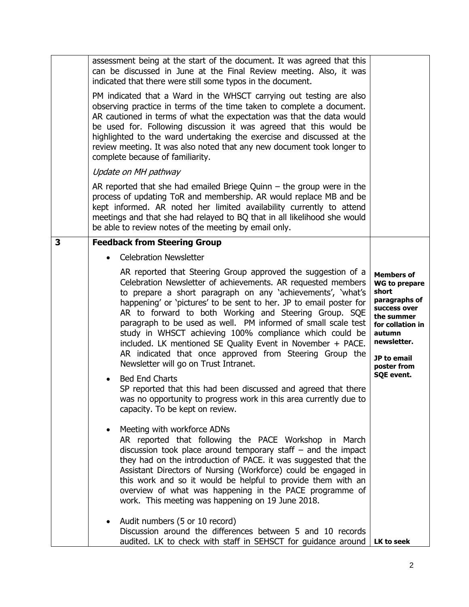|   | assessment being at the start of the document. It was agreed that this<br>can be discussed in June at the Final Review meeting. Also, it was<br>indicated that there were still some typos in the document.                                                                                                                                                                                                                                                                                                                                                                                                               |                                                                                                                                                                              |  |  |
|---|---------------------------------------------------------------------------------------------------------------------------------------------------------------------------------------------------------------------------------------------------------------------------------------------------------------------------------------------------------------------------------------------------------------------------------------------------------------------------------------------------------------------------------------------------------------------------------------------------------------------------|------------------------------------------------------------------------------------------------------------------------------------------------------------------------------|--|--|
|   | PM indicated that a Ward in the WHSCT carrying out testing are also<br>observing practice in terms of the time taken to complete a document.<br>AR cautioned in terms of what the expectation was that the data would<br>be used for. Following discussion it was agreed that this would be<br>highlighted to the ward undertaking the exercise and discussed at the<br>review meeting. It was also noted that any new document took longer to<br>complete because of familiarity.                                                                                                                                        |                                                                                                                                                                              |  |  |
|   | Update on MH pathway                                                                                                                                                                                                                                                                                                                                                                                                                                                                                                                                                                                                      |                                                                                                                                                                              |  |  |
|   | AR reported that she had emailed Briege Quinn $-$ the group were in the<br>process of updating ToR and membership. AR would replace MB and be<br>kept informed. AR noted her limited availability currently to attend<br>meetings and that she had relayed to BQ that in all likelihood she would<br>be able to review notes of the meeting by email only.                                                                                                                                                                                                                                                                |                                                                                                                                                                              |  |  |
| 3 | <b>Feedback from Steering Group</b>                                                                                                                                                                                                                                                                                                                                                                                                                                                                                                                                                                                       |                                                                                                                                                                              |  |  |
|   | <b>Celebration Newsletter</b>                                                                                                                                                                                                                                                                                                                                                                                                                                                                                                                                                                                             |                                                                                                                                                                              |  |  |
|   | AR reported that Steering Group approved the suggestion of a<br>Celebration Newsletter of achievements. AR requested members<br>to prepare a short paragraph on any 'achievements', 'what's<br>happening' or 'pictures' to be sent to her. JP to email poster for<br>AR to forward to both Working and Steering Group. SQE<br>paragraph to be used as well. PM informed of small scale test<br>study in WHSCT achieving 100% compliance which could be<br>included. LK mentioned SE Quality Event in November + PACE.<br>AR indicated that once approved from Steering Group the<br>Newsletter will go on Trust Intranet. | <b>Members of</b><br><b>WG to prepare</b><br>short<br>paragraphs of<br>success over<br>the summer<br>for collation in<br>autumn<br>newsletter.<br>JP to email<br>poster from |  |  |
|   | <b>Bed End Charts</b><br>$\bullet$<br>SP reported that this had been discussed and agreed that there<br>was no opportunity to progress work in this area currently due to<br>capacity. To be kept on review.                                                                                                                                                                                                                                                                                                                                                                                                              | <b>SQE event.</b>                                                                                                                                                            |  |  |
|   | Meeting with workforce ADNs<br>AR reported that following the PACE Workshop in March<br>discussion took place around temporary staff $-$ and the impact<br>they had on the introduction of PACE. it was suggested that the<br>Assistant Directors of Nursing (Workforce) could be engaged in<br>this work and so it would be helpful to provide them with an<br>overview of what was happening in the PACE programme of<br>work. This meeting was happening on 19 June 2018.                                                                                                                                              |                                                                                                                                                                              |  |  |
|   | Audit numbers (5 or 10 record)<br>$\bullet$<br>Discussion around the differences between 5 and 10 records<br>audited. LK to check with staff in SEHSCT for guidance around                                                                                                                                                                                                                                                                                                                                                                                                                                                | LK to seek                                                                                                                                                                   |  |  |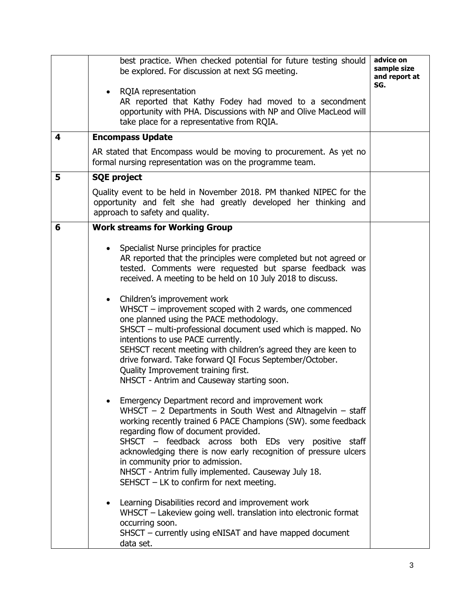|   | best practice. When checked potential for future testing should<br>be explored. For discussion at next SG meeting.<br>RQIA representation<br>AR reported that Kathy Fodey had moved to a secondment<br>opportunity with PHA. Discussions with NP and Olive MacLeod will<br>take place for a representative from RQIA.                                                                                                                                                                            | advice on<br>sample size<br>and report at<br>SG. |
|---|--------------------------------------------------------------------------------------------------------------------------------------------------------------------------------------------------------------------------------------------------------------------------------------------------------------------------------------------------------------------------------------------------------------------------------------------------------------------------------------------------|--------------------------------------------------|
| 4 | <b>Encompass Update</b>                                                                                                                                                                                                                                                                                                                                                                                                                                                                          |                                                  |
|   | AR stated that Encompass would be moving to procurement. As yet no<br>formal nursing representation was on the programme team.                                                                                                                                                                                                                                                                                                                                                                   |                                                  |
| 5 | <b>SQE project</b>                                                                                                                                                                                                                                                                                                                                                                                                                                                                               |                                                  |
|   | Quality event to be held in November 2018. PM thanked NIPEC for the<br>opportunity and felt she had greatly developed her thinking and<br>approach to safety and quality.                                                                                                                                                                                                                                                                                                                        |                                                  |
| 6 | <b>Work streams for Working Group</b>                                                                                                                                                                                                                                                                                                                                                                                                                                                            |                                                  |
|   | Specialist Nurse principles for practice<br>AR reported that the principles were completed but not agreed or<br>tested. Comments were requested but sparse feedback was<br>received. A meeting to be held on 10 July 2018 to discuss.                                                                                                                                                                                                                                                            |                                                  |
|   | Children's improvement work<br>$\bullet$<br>WHSCT – improvement scoped with 2 wards, one commenced<br>one planned using the PACE methodology.<br>SHSCT - multi-professional document used which is mapped. No<br>intentions to use PACE currently.<br>SEHSCT recent meeting with children's agreed they are keen to<br>drive forward. Take forward QI Focus September/October.<br>Quality Improvement training first.<br>NHSCT - Antrim and Causeway starting soon.                              |                                                  |
|   | Emergency Department record and improvement work<br>WHSCT $-$ 2 Departments in South West and Altnagelvin $-$ staff<br>working recently trained 6 PACE Champions (SW). some feedback<br>regarding flow of document provided.<br>SHSCT – feedback across both EDs very positive staff<br>acknowledging there is now early recognition of pressure ulcers<br>in community prior to admission.<br>NHSCT - Antrim fully implemented. Causeway July 18.<br>SEHSCT $-$ LK to confirm for next meeting. |                                                  |
|   | Learning Disabilities record and improvement work<br>$\bullet$<br>WHSCT - Lakeview going well. translation into electronic format<br>occurring soon.<br>SHSCT – currently using eNISAT and have mapped document<br>data set.                                                                                                                                                                                                                                                                     |                                                  |